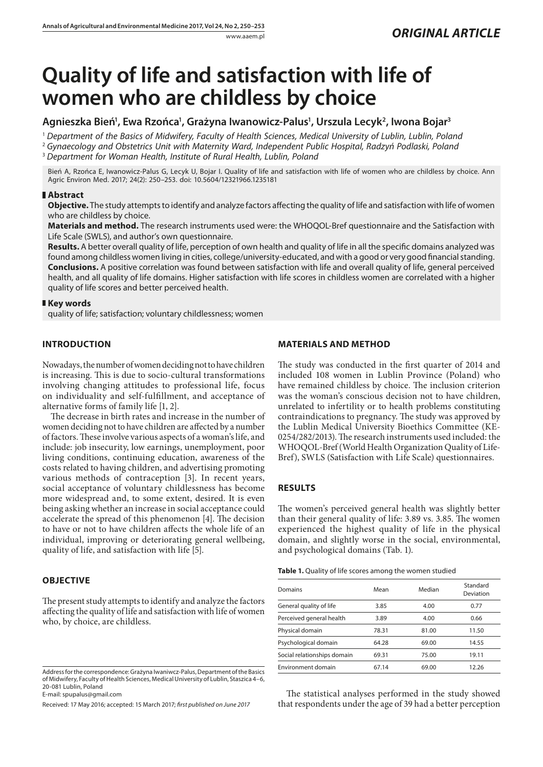# **Quality of life and satisfaction with life of women who are childless by choice**

## Agnieszka Bień<sup>1</sup>, Ewa Rzońca<sup>1</sup>, Grażyna Iwanowicz-Palus<sup>1</sup>, Urszula Lecyk<sup>2</sup>, Iwona Bojar<sup>3</sup>

<sup>1</sup> *Department of the Basics of Midwifery, Faculty of Health Sciences, Medical University of Lublin, Lublin, Poland*

<sup>2</sup> *Gynaecology and Obstetrics Unit with Maternity Ward, Independent Public Hospital, Radzyń Podlaski, Poland*

<sup>3</sup> *Department for Woman Health, Institute of Rural Health, Lublin, Poland*

Bień A, Rzońca E, Iwanowicz-Palus G, Lecyk U, Bojar I. Quality of life and satisfaction with life of women who are childless by choice. Ann Agric Environ Med. 2017; 24(2): 250–253. doi: 10.5604/12321966.1235181

#### **Abstract**

**Objective.** The study attempts to identify and analyze factors affecting the quality of life and satisfaction with life of women who are childless by choice.

**Materials and method.** The research instruments used were: the WHOQOL-Bref questionnaire and the Satisfaction with Life Scale (SWLS), and author's own questionnaire.

**Results.** A better overall quality of life, perception of own health and quality of life in all the specific domains analyzed was found among childless women living in cities, college/university-educated, and with a good or very good financial standing. **Conclusions.** A positive correlation was found between satisfaction with life and overall quality of life, general perceived health, and all quality of life domains. Higher satisfaction with life scores in childless women are correlated with a higher quality of life scores and better perceived health.

#### **Key words**

quality of life; satisfaction; voluntary childlessness; women

## **INTRODUCTION**

Nowadays, the number of women deciding not to have children is increasing. This is due to socio-cultural transformations involving changing attitudes to professional life, focus on individuality and self-fulfillment, and acceptance of alternative forms of family life [1, 2].

The decrease in birth rates and increase in the number of women deciding not to have children are affected by a number of factors. These involve various aspects of a woman's life, and include: job insecurity, low earnings, unemployment, poor living conditions, continuing education, awareness of the costs related to having children, and advertising promoting various methods of contraception [3]. In recent years, social acceptance of voluntary childlessness has become more widespread and, to some extent, desired. It is even being asking whether an increase in social acceptance could accelerate the spread of this phenomenon [4]. The decision to have or not to have children affects the whole life of an individual, improving or deteriorating general wellbeing, quality of life, and satisfaction with life [5].

## **OBJECTIVE**

The present study attempts to identify and analyze the factors affecting the quality of life and satisfaction with life of women who, by choice, are childless.

## **MATERIALS AND METHOD**

The study was conducted in the first quarter of 2014 and included 108 women in Lublin Province (Poland) who have remained childless by choice. The inclusion criterion was the woman's conscious decision not to have children, unrelated to infertility or to health problems constituting contraindications to pregnancy. The study was approved by the Lublin Medical University Bioethics Committee (KE-0254/282/2013). The research instruments used included: the WHOQOL-Bref (World Health Organization Quality of Life-Bref), SWLS (Satisfaction with Life Scale) questionnaires.

#### **RESULTS**

The women's perceived general health was slightly better than their general quality of life: 3.89 vs. 3.85. The women experienced the highest quality of life in the physical domain, and slightly worse in the social, environmental, and psychological domains (Tab. 1).

| Domains                     | Mean  | Median | Standard<br>Deviation |
|-----------------------------|-------|--------|-----------------------|
| General quality of life     | 3.85  | 4.00   | 0.77                  |
| Perceived general health    | 3.89  | 4.00   | 0.66                  |
| Physical domain             | 78.31 | 81.00  | 11.50                 |
| Psychological domain        | 64.28 | 69.00  | 14.55                 |
| Social relationships domain | 69.31 | 75.00  | 19.11                 |
| Environment domain          | 67.14 | 69.00  | 12.26                 |

The statistical analyses performed in the study showed that respondents under the age of 39 had a better perception

Address for the correspondence: Grażyna Iwaniwcz-Palus, Department of the Basics of Midwifery, Faculty of Health Sciences, Medical University of Lublin, Staszica 4–6, 20-081 Lublin, Poland E-mail: spupalus@gmail.com

Received: 17 May 2016; accepted: 15 March 2017; *first published on June 2017*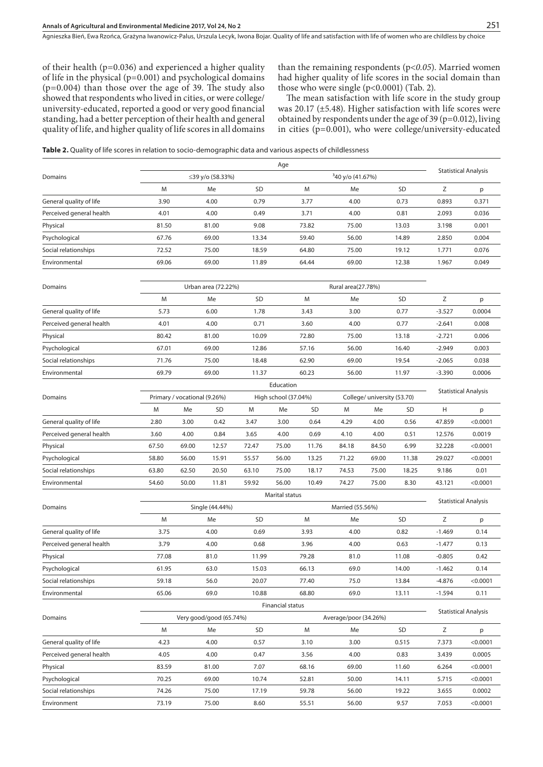Agnieszka Bień, Ewa Rzońca, Grażyna Iwanowicz-Palus, Urszula Lecyk, Iwona Bojar . Quality of life and satisfaction with life of women who are childless by choice

of their health (p=0.036) and experienced a higher quality of life in the physical (p=0.001) and psychological domains (p=0.004) than those over the age of 39. The study also showed that respondents who lived in cities, or were college/ university-educated, reported a good or very good financial standing, had a better perception of their health and general quality of life, and higher quality of life scores in all domains than the remaining respondents (p*<0.05*). Married women had higher quality of life scores in the social domain than those who were single (p<0.0001) (Tab. 2).

The mean satisfaction with life score in the study group was 20.17 (±5.48). Higher satisfaction with life scores were obtained by respondents under the age of 39 (p=0.012), living in cities (p=0.001), who were college/university-educated

|                          |                                           |       |                      |           | Age                         |                       |                  |                              |           |          |                             |  |
|--------------------------|-------------------------------------------|-------|----------------------|-----------|-----------------------------|-----------------------|------------------|------------------------------|-----------|----------|-----------------------------|--|
| Domains                  | ≤39 y/o (58.33%)                          |       |                      |           |                             |                       |                  | <sup>3</sup> 40 y/o (41.67%) |           |          | <b>Statistical Analysis</b> |  |
|                          | M                                         |       | Me                   | <b>SD</b> |                             | M                     | Me               |                              | <b>SD</b> | Ζ        | p                           |  |
| General quality of life  | 3.90                                      |       | 4.00                 | 0.79      |                             | 3.77                  | 4.00             |                              | 0.73      | 0.893    | 0.371                       |  |
| Perceived general health | 4.01                                      |       | 4.00                 | 0.49      |                             | 3.71                  | 4.00             |                              | 0.81      | 2.093    | 0.036                       |  |
| Physical                 | 81.50                                     |       | 81.00                | 9.08      |                             | 73.82                 | 75.00            |                              | 13.03     | 3.198    | 0.001                       |  |
| Psychological            | 67.76                                     |       | 69.00                | 13.34     |                             | 59.40                 | 56.00            |                              | 14.89     | 2.850    | 0.004                       |  |
| Social relationships     | 72.52                                     |       | 75.00                | 18.59     |                             | 64.80                 | 75.00            |                              | 19.12     | 1.771    | 0.076                       |  |
| Environmental            | 69.06                                     |       | 69.00                | 11.89     |                             | 64.44                 | 69.00            |                              | 12.38     | 1.967    | 0.049                       |  |
|                          |                                           |       |                      |           |                             |                       |                  |                              |           |          |                             |  |
| Domains                  | Urban area (72.22%)<br>Rural area(27.78%) |       |                      |           |                             |                       |                  |                              |           |          |                             |  |
|                          | M                                         |       | Me                   | <b>SD</b> |                             | M                     | Me               |                              | <b>SD</b> | Z        | p                           |  |
| General quality of life  | 5.73                                      |       | 6.00                 | 1.78      |                             | 3.43                  | 3.00             |                              | 0.77      | $-3.527$ | 0.0004                      |  |
| Perceived general health | 4.01                                      |       | 4.00                 | 0.71      |                             | 3.60                  | 4.00             |                              | 0.77      | $-2.641$ | 0.008                       |  |
| Physical                 | 80.42                                     |       | 81.00                | 10.09     |                             | 72.80                 | 75.00            |                              | 13.18     | $-2.721$ | 0.006                       |  |
| Psychological            | 67.01                                     |       | 69.00                | 12.86     |                             | 57.16                 | 56.00            |                              | 16.40     | $-2.949$ | 0.003                       |  |
| Social relationships     | 71.76                                     |       | 75.00                | 18.48     |                             | 62.90                 | 69.00            |                              | 19.54     | $-2.065$ | 0.038                       |  |
| Environmental            | 69.79                                     |       | 69.00                | 11.37     |                             | 60.23                 | 56.00            |                              | 11.97     | $-3.390$ | 0.0006                      |  |
|                          |                                           |       |                      |           | Education                   |                       |                  |                              |           |          |                             |  |
| Domains                  | Primary / vocational (9.26%)              |       | High school (37.04%) |           | College/ university (53.70) |                       |                  | <b>Statistical Analysis</b>  |           |          |                             |  |
|                          | M                                         | Me    | <b>SD</b>            | M         | Me                          | SD                    | M                | Me                           | <b>SD</b> | Η        | р                           |  |
| General quality of life  | 2.80                                      | 3.00  | 0.42                 | 3.47      | 3.00                        | 0.64                  | 4.29             | 4.00                         | 0.56      | 47.859   | < 0.0001                    |  |
| Perceived general health | 3.60                                      | 4.00  | 0.84                 | 3.65      | 4.00                        | 0.69                  | 4.10             | 4.00                         | 0.51      | 12.576   | 0.0019                      |  |
| Physical                 | 67.50                                     | 69.00 | 12.57                | 72.47     | 75.00                       | 11.76                 | 84.18            | 84.50                        | 6.99      | 32.228   | < 0.0001                    |  |
| Psychological            | 58.80                                     | 56.00 | 15.91                | 55.57     | 56.00                       | 13.25                 | 71.22            | 69.00                        | 11.38     | 29.027   | < 0.0001                    |  |
| Social relationships     | 63.80                                     | 62.50 | 20.50                | 63.10     | 75.00                       | 18.17                 | 74.53            | 75.00                        | 18.25     | 9.186    | 0.01                        |  |
| Environmental            | 54.60                                     | 50.00 | 11.81                | 59.92     | 56.00                       | 10.49                 | 74.27            | 75.00                        | 8.30      | 43.121   | < 0.0001                    |  |
|                          | Marital status                            |       |                      |           |                             |                       |                  |                              |           |          |                             |  |
| Domains                  | Single (44.44%)                           |       |                      |           |                             |                       | Married (55.56%) |                              |           |          | <b>Statistical Analysis</b> |  |
|                          | M                                         |       | Me                   | <b>SD</b> |                             | M                     | Me               |                              | <b>SD</b> | Z        | p                           |  |
| General quality of life  | 3.75                                      |       | 4.00                 | 0.69      |                             | 3.93                  | 4.00             |                              | 0.82      | $-1.469$ | 0.14                        |  |
| Perceived general health | 3.79                                      |       | 4.00                 | 0.68      |                             | 3.96                  | 4.00             |                              | 0.63      | $-1.477$ | 0.13                        |  |
| Physical                 | 77.08                                     |       | 81.0                 | 11.99     |                             | 79.28                 | 81.0             |                              | 11.08     | $-0.805$ | 0.42                        |  |
| Psychological            | 61.95                                     |       | 63.0                 | 15.03     |                             | 66.13                 | 69.0             |                              | 14.00     | $-1.462$ | 0.14                        |  |
| Social relationships     | 59.18                                     |       | 56.0                 | 20.07     |                             | 77.40                 | 75.0             |                              | 13.84     | -4.876   | $<$ 0.0001                  |  |
| Environmental            | 65.06                                     |       | 69.0                 | 10.88     |                             | 68.80                 | 69.0             |                              | 13.11     | $-1.594$ | 0.11                        |  |
|                          | Financial status                          |       |                      |           |                             |                       |                  |                              |           |          |                             |  |
| Domains                  | Very good/good (65.74%)                   |       |                      |           |                             | Average/poor (34.26%) |                  | <b>Statistical Analysis</b>  |           |          |                             |  |
|                          | M                                         |       | Me                   | SD        |                             | M                     | Me               |                              | SD        | Ζ        | p                           |  |
| General quality of life  | 4.23                                      |       | 4.00                 | 0.57      |                             | 3.10                  | 3.00             |                              | 0.515     | 7.373    | < 0.0001                    |  |
| Perceived general health | 4.05                                      |       | 4.00                 | 0.47      |                             | 3.56                  | 4.00             |                              | 0.83      | 3.439    | 0.0005                      |  |
| Physical                 | 83.59                                     |       | 81.00                | 7.07      |                             | 68.16                 | 69.00            |                              | 11.60     | 6.264    | < 0.0001                    |  |
| Psychological            | 70.25                                     |       | 69.00                | 10.74     |                             | 52.81                 | 50.00            |                              | 14.11     | 5.715    | < 0.0001                    |  |
| Social relationships     | 74.26                                     |       | 75.00                | 17.19     |                             | 59.78                 | 56.00            |                              | 19.22     | 3.655    | 0.0002                      |  |
| Environment              | 73.19                                     |       | 75.00                | 8.60      |                             | 55.51                 | 56.00            |                              | 9.57      | 7.053    | < 0.0001                    |  |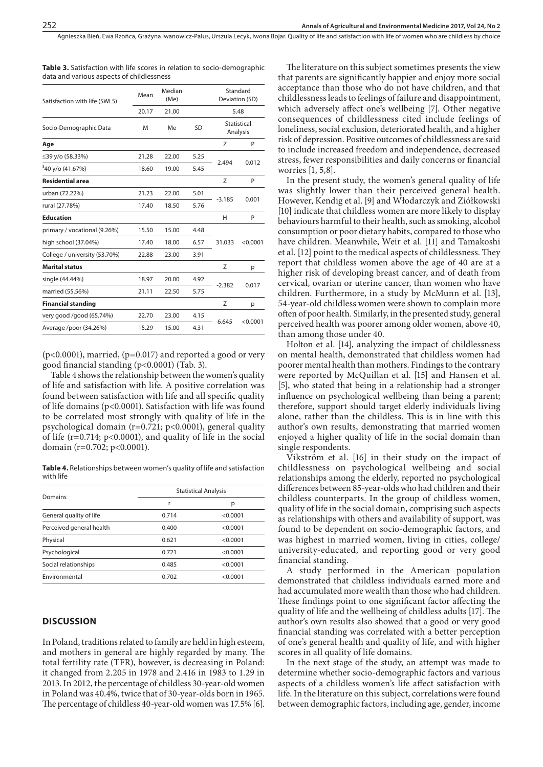| Satisfaction with life (SWLS) | Median<br>Mean<br>(Me) |       |      | Standard<br>Deviation (SD) |          |  |
|-------------------------------|------------------------|-------|------|----------------------------|----------|--|
|                               | 20.17                  | 21.00 |      |                            | 5.48     |  |
| Socio-Demographic Data        | M                      | Me    | SD   | Statistical<br>Analysis    |          |  |
| Age                           |                        |       |      | Z                          | P        |  |
| ≤39 y/o (58.33%)              | 21.28                  | 22.00 | 5.25 |                            | 0.012    |  |
| <sup>3</sup> 40 y/o (41.67%)  | 18.60                  | 19.00 | 5.45 | 2.494                      |          |  |
| <b>Residential area</b>       |                        |       |      | Z                          | P        |  |
| urban (72.22%)                | 21.23                  | 22.00 | 5.01 |                            | 0.001    |  |
| rural (27.78%)                | 17.40                  | 18.50 | 5.76 | $-3.185$                   |          |  |
| <b>Education</b>              |                        |       |      | н                          | P        |  |
| primary / vocational (9.26%)  | 15.50                  | 15.00 | 4.48 |                            |          |  |
| high school (37.04%)          | 17.40                  | 18.00 | 6.57 | 31.033                     | < 0.0001 |  |
| College / university (53.70%) | 22.88                  | 23.00 | 3.91 |                            |          |  |
| <b>Marital status</b>         |                        |       |      | Z                          | р        |  |
| single (44.44%)               | 18.97                  | 20.00 | 4.92 |                            | 0.017    |  |
| married (55.56%)              | 21.11                  | 22.50 | 5.75 | $-2.382$                   |          |  |
| <b>Financial standing</b>     |                        |       |      | Z                          | р        |  |
| very good /good (65.74%)      | 22.70                  | 23.00 | 4.15 |                            |          |  |
| Average /poor (34.26%)        | 15.29                  | 15.00 | 4.31 | 6.645                      | < 0.0001 |  |
|                               |                        |       |      |                            |          |  |

**Table 3.** Satisfaction with life scores in relation to socio-demographic data and various aspects of childlessness

 $(p<0.0001)$ , married,  $(p=0.017)$  and reported a good or very good financial standing (p<0.0001) (Tab. 3).

Table 4 shows the relationship between the women's quality of life and satisfaction with life. A positive correlation was found between satisfaction with life and all specific quality of life domains (p<0.0001). Satisfaction with life was found to be correlated most strongly with quality of life in the psychological domain (r=0.721; p<0.0001), general quality of life ( $r=0.714$ ;  $p<0.0001$ ), and quality of life in the social domain (r=0.702; p<0.0001).

**Table 4.** Relationships between women's quality of life and satisfaction with life

| Domains                  | <b>Statistical Analysis</b> |          |  |  |
|--------------------------|-----------------------------|----------|--|--|
|                          | r                           | р        |  |  |
| General quality of life  | 0.714                       | < 0.0001 |  |  |
| Perceived general health | 0.400                       | < 0.0001 |  |  |
| Physical                 | 0.621                       | < 0.0001 |  |  |
| Psychological            | 0.721                       | < 0.0001 |  |  |
| Social relationships     | 0.485                       | < 0.0001 |  |  |
| Environmental            | 0.702                       | < 0.0001 |  |  |

#### **DISCUSSION**

In Poland, traditions related to family are held in high esteem, and mothers in general are highly regarded by many. The total fertility rate (TFR), however, is decreasing in Poland: it changed from 2.205 in 1978 and 2.416 in 1983 to 1.29 in 2013. In 2012, the percentage of childless 30-year-old women in Poland was 40.4%, twice that of 30-year-olds born in 1965. The percentage of childless 40-year-old women was 17.5% [6].

The literature on this subject sometimes presents the view that parents are significantly happier and enjoy more social acceptance than those who do not have children, and that childlessness leads to feelings of failure and disappointment, which adversely affect one's wellbeing [7]. Other negative consequences of childlessness cited include feelings of loneliness, social exclusion, deteriorated health, and a higher risk of depression. Positive outcomes of childlessness are said to include increased freedom and independence, decreased stress, fewer responsibilities and daily concerns or financial worries [1, 5,8].

In the present study, the women's general quality of life was slightly lower than their perceived general health. However, Kendig et al. [9] and Włodarczyk and Ziółkowski [10] indicate that childless women are more likely to display behaviours harmful to their health, such as smoking, alcohol consumption or poor dietary habits, compared to those who have children. Meanwhile, Weir et al. [11] and Tamakoshi et al. [12] point to the medical aspects of childlessness. They report that childless women above the age of 40 are at a higher risk of developing breast cancer, and of death from cervical, ovarian or uterine cancer, than women who have children. Furthermore, in a study by McMunn et al. [13], 54-year-old childless women were shown to complain more often of poor health. Similarly, in the presented study, general perceived health was poorer among older women, above 40, than among those under 40.

Holton et al. [14], analyzing the impact of childlessness on mental health, demonstrated that childless women had poorer mental health than mothers. Findings to the contrary were reported by McQuillan et al. [15] and Hansen et al. [5], who stated that being in a relationship had a stronger influence on psychological wellbeing than being a parent; therefore, support should target elderly individuals living alone, rather than the childless. This is in line with this author's own results, demonstrating that married women enjoyed a higher quality of life in the social domain than single respondents.

Vikström et al. [16] in their study on the impact of childlessness on psychological wellbeing and social relationships among the elderly, reported no psychological differences between 85-year-olds who had children and their childless counterparts. In the group of childless women, quality of life in the social domain, comprising such aspects as relationships with others and availability of support, was found to be dependent on socio-demographic factors, and was highest in married women, living in cities, college/ university-educated, and reporting good or very good financial standing.

A study performed in the American population demonstrated that childless individuals earned more and had accumulated more wealth than those who had children. These findings point to one significant factor affecting the quality of life and the wellbeing of childless adults [17]. The author's own results also showed that a good or very good financial standing was correlated with a better perception of one's general health and quality of life, and with higher scores in all quality of life domains.

In the next stage of the study, an attempt was made to determine whether socio-demographic factors and various aspects of a childless women's life affect satisfaction with life. In the literature on this subject, correlations were found between demographic factors, including age, gender, income